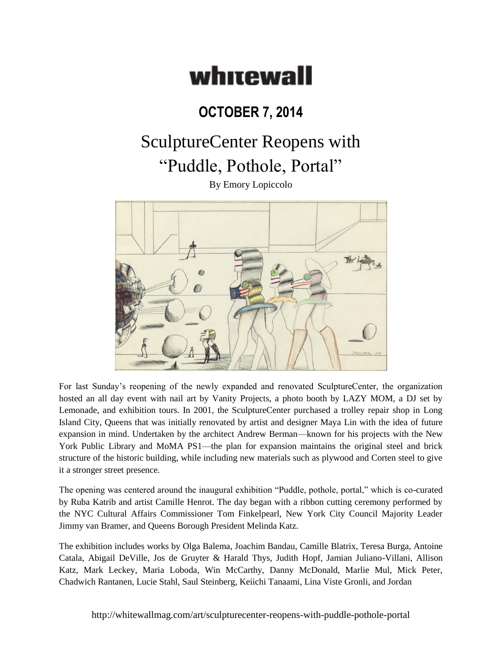## whitewall

## **OCTOBER 7, 2014**

## SculptureCenter Reopens with "Puddle, Pothole, Portal"

By Emory Lopiccolo



For last Sunday's reopening of the newly expanded and renovated SculptureCenter, the organization hosted an all day event with nail art by Vanity Projects, a photo booth by LAZY MOM, a DJ set by Lemonade, and exhibition tours. In 2001, the SculptureCenter purchased a trolley repair shop in Long Island City, Queens that was initially renovated by artist and designer Maya Lin with the idea of future expansion in mind. Undertaken by the architect Andrew Berman—known for his projects with the New York Public Library and MoMA PS1—the plan for expansion maintains the original steel and brick structure of the historic building, while including new materials such as plywood and Corten steel to give it a stronger street presence.

The opening was centered around the inaugural exhibition "Puddle, pothole, portal," which is co-curated by Ruba Katrib and artist Camille Henrot. The day began with a ribbon cutting ceremony performed by the NYC Cultural Affairs Commissioner Tom Finkelpearl, New York City Council Majority Leader Jimmy van Bramer, and Queens Borough President Melinda Katz.

The exhibition includes works by Olga Balema, Joachim Bandau, Camille Blatrix, Teresa Burga, Antoine Catala, Abigail DeVille, Jos de Gruyter & Harald Thys, Judith Hopf, Jamian Juliano-Villani, Allison Katz, Mark Leckey, Maria Loboda, Win McCarthy, Danny McDonald, Marlie Mul, Mick Peter, Chadwich Rantanen, Lucie Stahl, Saul Steinberg, Keiichi Tanaami, Lina Viste Gronli, and Jordan